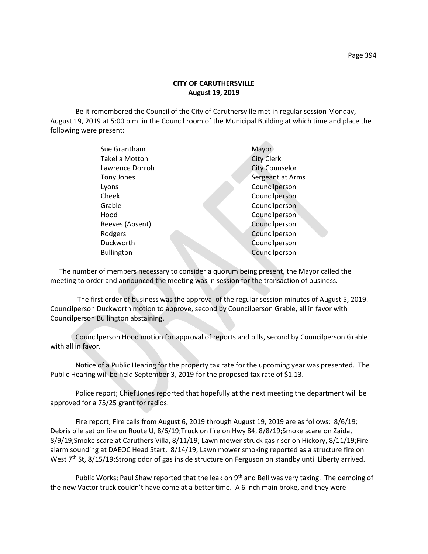Be it remembered the Council of the City of Caruthersville met in regular session Monday, August 19, 2019 at 5:00 p.m. in the Council room of the Municipal Building at which time and place the following were present:

| Sue Grantham      | Mayor                 |
|-------------------|-----------------------|
| Takella Motton    | <b>City Clerk</b>     |
| Lawrence Dorroh   | <b>City Counselor</b> |
| Tony Jones        | Sergeant at Arms      |
| Lyons             | Councilperson         |
| Cheek             | Councilperson         |
| Grable            | Councilperson         |
| Hood              | Councilperson         |
| Reeves (Absent)   | Councilperson         |
| Rodgers           | Councilperson         |
| Duckworth         | Councilperson         |
| <b>Bullington</b> | Councilperson         |
|                   |                       |

 The number of members necessary to consider a quorum being present, the Mayor called the meeting to order and announced the meeting was in session for the transaction of business.

The first order of business was the approval of the regular session minutes of August 5, 2019. Councilperson Duckworth motion to approve, second by Councilperson Grable, all in favor with Councilperson Bullington abstaining.

Councilperson Hood motion for approval of reports and bills, second by Councilperson Grable with all in favor.

Notice of a Public Hearing for the property tax rate for the upcoming year was presented. The Public Hearing will be held September 3, 2019 for the proposed tax rate of \$1.13.

Police report; Chief Jones reported that hopefully at the next meeting the department will be approved for a 75/25 grant for radios.

Fire report; Fire calls from August 6, 2019 through August 19, 2019 are as follows: 8/6/19; Debris pile set on fire on Route U, 8/6/19;Truck on fire on Hwy 84, 8/8/19;Smoke scare on Zaida, 8/9/19;Smoke scare at Caruthers Villa, 8/11/19; Lawn mower struck gas riser on Hickory, 8/11/19;Fire alarm sounding at DAEOC Head Start, 8/14/19; Lawn mower smoking reported as a structure fire on West 7<sup>th</sup> St, 8/15/19;Strong odor of gas inside structure on Ferguson on standby until Liberty arrived.

Public Works; Paul Shaw reported that the leak on 9<sup>th</sup> and Bell was very taxing. The demoing of the new Vactor truck couldn't have come at a better time. A 6 inch main broke, and they were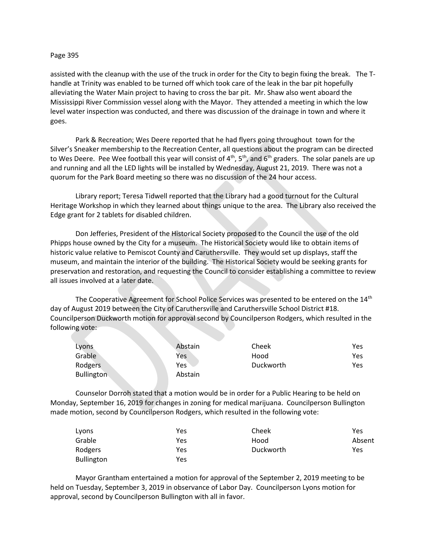## Page 395

assisted with the cleanup with the use of the truck in order for the City to begin fixing the break. The Thandle at Trinity was enabled to be turned off which took care of the leak in the bar pit hopefully alleviating the Water Main project to having to cross the bar pit. Mr. Shaw also went aboard the Mississippi River Commission vessel along with the Mayor. They attended a meeting in which the low level water inspection was conducted, and there was discussion of the drainage in town and where it goes.

Park & Recreation; Wes Deere reported that he had flyers going throughout town for the Silver's Sneaker membership to the Recreation Center, all questions about the program can be directed to Wes Deere. Pee Wee football this year will consist of  $4<sup>th</sup>$ , 5<sup>th</sup>, and  $6<sup>th</sup>$  graders. The solar panels are up and running and all the LED lights will be installed by Wednesday, August 21, 2019. There was not a quorum for the Park Board meeting so there was no discussion of the 24 hour access.

Library report; Teresa Tidwell reported that the Library had a good turnout for the Cultural Heritage Workshop in which they learned about things unique to the area. The Library also received the Edge grant for 2 tablets for disabled children.

Don Jefferies, President of the Historical Society proposed to the Council the use of the old Phipps house owned by the City for a museum. The Historical Society would like to obtain items of historic value relative to Pemiscot County and Caruthersville. They would set up displays, staff the museum, and maintain the interior of the building. The Historical Society would be seeking grants for preservation and restoration, and requesting the Council to consider establishing a committee to review all issues involved at a later date.

The Cooperative Agreement for School Police Services was presented to be entered on the  $14<sup>th</sup>$ day of August 2019 between the City of Caruthersville and Caruthersville School District #18. Councilperson Duckworth motion for approval second by Councilperson Rodgers, which resulted in the following vote:

| Lyons             | Abstain | Cheek     | Yes |
|-------------------|---------|-----------|-----|
| Grable            | Yes     | Hood      | Yes |
| Rodgers           | Yes     | Duckworth | Yes |
| <b>Bullington</b> | Abstain |           |     |

Counselor Dorroh stated that a motion would be in order for a Public Hearing to be held on Monday, September 16, 2019 for changes in zoning for medical marijuana. Councilperson Bullington made motion, second by Councilperson Rodgers, which resulted in the following vote:

| Lyons             | Yes | Cheek     | Yes    |
|-------------------|-----|-----------|--------|
| Grable            | Yes | Hood      | Absent |
| Rodgers           | Yes | Duckworth | Yes    |
| <b>Bullington</b> | Yes |           |        |

Mayor Grantham entertained a motion for approval of the September 2, 2019 meeting to be held on Tuesday, September 3, 2019 in observance of Labor Day. Councilperson Lyons motion for approval, second by Councilperson Bullington with all in favor.